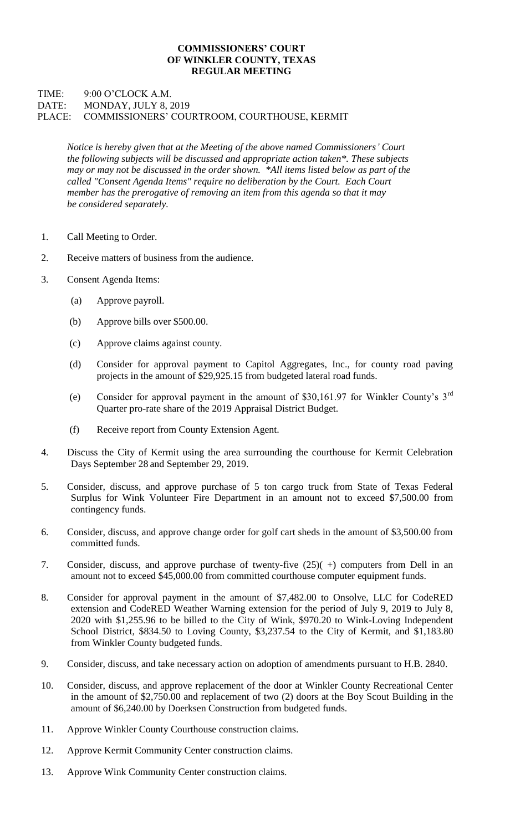## **COMMISSIONERS' COURT OF WINKLER COUNTY, TEXAS REGULAR MEETING**

## TIME: 9:00 O'CLOCK A.M. DATE: MONDAY, JULY 8, 2019 PLACE: COMMISSIONERS' COURTROOM, COURTHOUSE, KERMIT

*Notice is hereby given that at the Meeting of the above named Commissioners' Court the following subjects will be discussed and appropriate action taken\*. These subjects may or may not be discussed in the order shown. \*All items listed below as part of the called "Consent Agenda Items" require no deliberation by the Court. Each Court member has the prerogative of removing an item from this agenda so that it may be considered separately.*

- 1. Call Meeting to Order.
- 2. Receive matters of business from the audience.
- 3. Consent Agenda Items:
	- (a) Approve payroll.
	- (b) Approve bills over \$500.00.
	- (c) Approve claims against county.
	- (d) Consider for approval payment to Capitol Aggregates, Inc., for county road paving projects in the amount of \$29,925.15 from budgeted lateral road funds.
	- (e) Consider for approval payment in the amount of \$30,161.97 for Winkler County's 3rd Quarter pro-rate share of the 2019 Appraisal District Budget.
	- (f) Receive report from County Extension Agent.
- 4. Discuss the City of Kermit using the area surrounding the courthouse for Kermit Celebration Days September 28 and September 29, 2019.
- 5. Consider, discuss, and approve purchase of 5 ton cargo truck from State of Texas Federal Surplus for Wink Volunteer Fire Department in an amount not to exceed \$7,500.00 from contingency funds.
- 6. Consider, discuss, and approve change order for golf cart sheds in the amount of \$3,500.00 from committed funds.
- 7. Consider, discuss, and approve purchase of twenty-five (25)( +) computers from Dell in an amount not to exceed \$45,000.00 from committed courthouse computer equipment funds.
- 8. Consider for approval payment in the amount of \$7,482.00 to Onsolve, LLC for CodeRED extension and CodeRED Weather Warning extension for the period of July 9, 2019 to July 8, 2020 with \$1,255.96 to be billed to the City of Wink, \$970.20 to Wink-Loving Independent School District, \$834.50 to Loving County, \$3,237.54 to the City of Kermit, and \$1,183.80 from Winkler County budgeted funds.
- 9. Consider, discuss, and take necessary action on adoption of amendments pursuant to H.B. 2840.
- 10. Consider, discuss, and approve replacement of the door at Winkler County Recreational Center in the amount of \$2,750.00 and replacement of two (2) doors at the Boy Scout Building in the amount of \$6,240.00 by Doerksen Construction from budgeted funds.
- 11. Approve Winkler County Courthouse construction claims.
- 12. Approve Kermit Community Center construction claims.
- 13. Approve Wink Community Center construction claims.